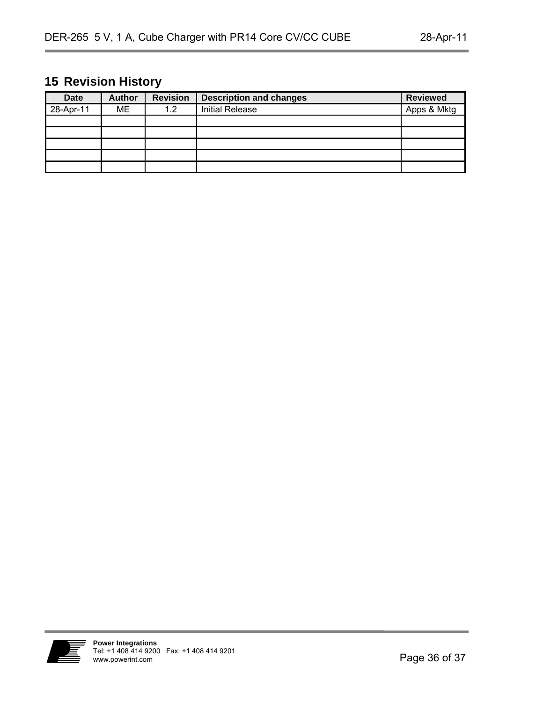# **15 Revision History**

| <b>Date</b> | <b>Author</b> | <b>Revision</b> | <b>Description and changes</b> | <b>Reviewed</b> |
|-------------|---------------|-----------------|--------------------------------|-----------------|
| 28-Apr-11   | ME            | 1.2             | <b>Initial Release</b>         | Apps & Mktg     |
|             |               |                 |                                |                 |
|             |               |                 |                                |                 |
|             |               |                 |                                |                 |
|             |               |                 |                                |                 |
|             |               |                 |                                |                 |